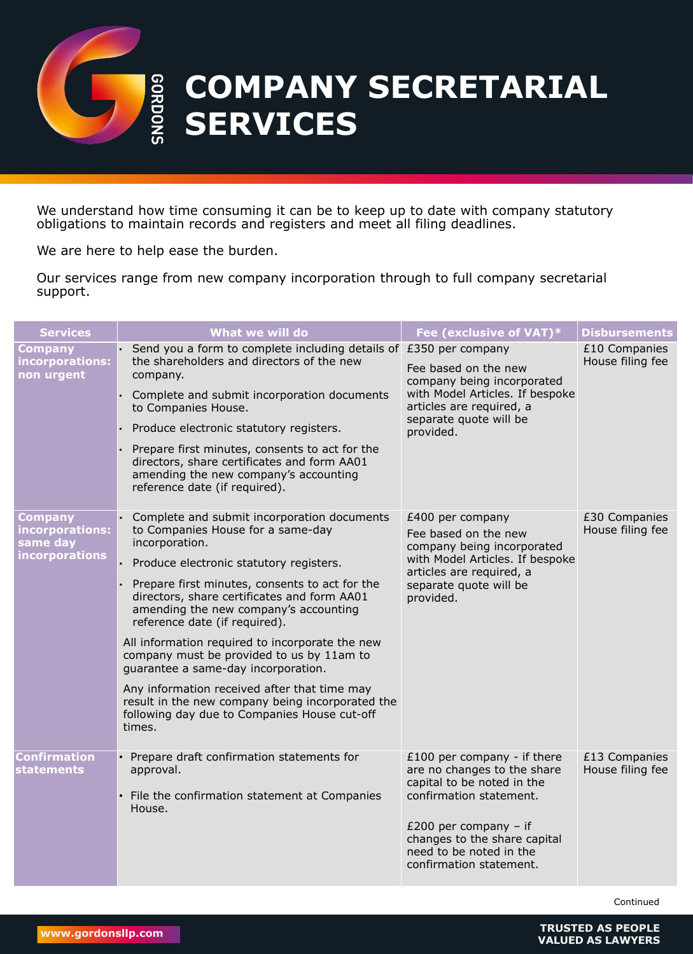

| <b>Services</b>                                                        | What we will do                                                                                                                                                                                                                                                                                                                                                                                                                                                                                                                                                                                                                 | Fee (exclusive of VAT)*                                                                                                                                                                                   | <b>Disbursements</b>              |
|------------------------------------------------------------------------|---------------------------------------------------------------------------------------------------------------------------------------------------------------------------------------------------------------------------------------------------------------------------------------------------------------------------------------------------------------------------------------------------------------------------------------------------------------------------------------------------------------------------------------------------------------------------------------------------------------------------------|-----------------------------------------------------------------------------------------------------------------------------------------------------------------------------------------------------------|-----------------------------------|
| <b>Company</b><br>incorporations:<br>non urgent                        | $\cdot$ Send you a form to complete including details of £350 per company<br>the shareholders and directors of the new<br>company.<br>Complete and submit incorporation documents<br>to Companies House.<br>Produce electronic statutory registers.<br>Prepare first minutes, consents to act for the<br>directors, share certificates and form AA01<br>amending the new company's accounting<br>reference date (if required).                                                                                                                                                                                                  | Fee based on the new<br>company being incorporated<br>with Model Articles. If bespoke<br>articles are required, a<br>separate quote will be<br>provided.                                                  | £10 Companies<br>House filing fee |
| <b>Company</b><br>incorporations:<br>same day<br><b>incorporations</b> | • Complete and submit incorporation documents<br>to Companies House for a same-day<br>incorporation.<br>Produce electronic statutory registers.<br>Prepare first minutes, consents to act for the<br>directors, share certificates and form AA01<br>amending the new company's accounting<br>reference date (if required).<br>All information required to incorporate the new<br>company must be provided to us by 11am to<br>guarantee a same-day incorporation.<br>Any information received after that time may<br>result in the new company being incorporated the<br>following day due to Companies House cut-off<br>times. | £400 per company<br>Fee based on the new<br>company being incorporated<br>with Model Articles. If bespoke<br>articles are required, a<br>separate quote will be<br>provided.                              | £30 Companies<br>House filing fee |
| <b>Confirmation</b><br><b>statements</b>                               | Prepare draft confirmation statements for<br>approval.<br>File the confirmation statement at Companies<br>House.                                                                                                                                                                                                                                                                                                                                                                                                                                                                                                                | £100 per company - if there<br>are no changes to the share<br>capital to be noted in the<br>confirmation statement.<br>$£200$ per company – if<br>changes to the share capital<br>need to be noted in the | £13 Companies<br>House filing fee |





We understand how time consuming it can be to keep up to date with company statutory obligations to maintain records and registers and meet all filing deadlines.

We are here to help ease the burden.

Our services range from new company incorporation through to full company secretarial

## support.